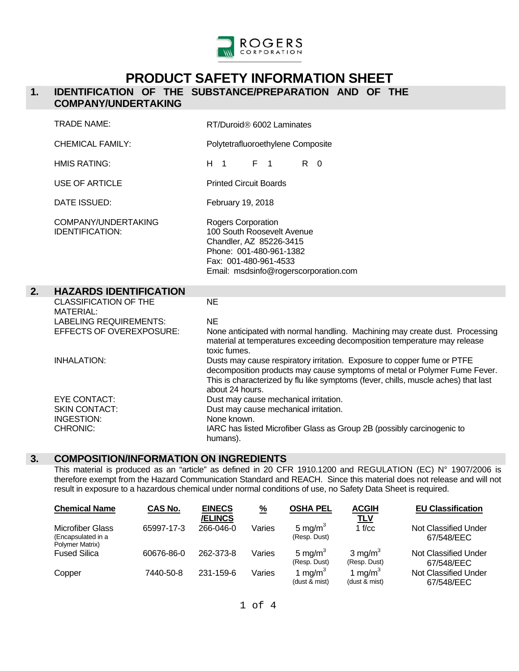

# **PRODUCT SAFETY INFORMATION SHEET**

## **1. IDENTIFICATION OF THE SUBSTANCE/PREPARATION AND OF THE COMPANY/UNDERTAKING**

|    | <b>TRADE NAME:</b>                               | RT/Duroid <sup>®</sup> 6002 Laminates                                                                                                                                                                                                                         |  |  |
|----|--------------------------------------------------|---------------------------------------------------------------------------------------------------------------------------------------------------------------------------------------------------------------------------------------------------------------|--|--|
|    | <b>CHEMICAL FAMILY:</b>                          | Polytetrafluoroethylene Composite                                                                                                                                                                                                                             |  |  |
|    | <b>HMIS RATING:</b>                              | H <sub>1</sub><br>$F \neq 1$<br>$R \quad 0$                                                                                                                                                                                                                   |  |  |
|    | <b>USE OF ARTICLE</b>                            | <b>Printed Circuit Boards</b>                                                                                                                                                                                                                                 |  |  |
|    | DATE ISSUED:                                     | February 19, 2018                                                                                                                                                                                                                                             |  |  |
|    | COMPANY/UNDERTAKING<br><b>IDENTIFICATION:</b>    | Rogers Corporation<br>100 South Roosevelt Avenue<br>Chandler, AZ 85226-3415<br>Phone: 001-480-961-1382<br>Fax: 001-480-961-4533<br>Email: msdsinfo@rogerscorporation.com                                                                                      |  |  |
| 2. | <b>HAZARDS IDENTIFICATION</b>                    |                                                                                                                                                                                                                                                               |  |  |
|    | <b>CLASSIFICATION OF THE</b><br><b>MATERIAL:</b> | <b>NE</b>                                                                                                                                                                                                                                                     |  |  |
|    | <b>LABELING REQUIREMENTS:</b>                    | <b>NE</b>                                                                                                                                                                                                                                                     |  |  |
|    | EFFECTS OF OVEREXPOSURE:                         | None anticipated with normal handling. Machining may create dust. Processing<br>material at temperatures exceeding decomposition temperature may release<br>toxic fumes.                                                                                      |  |  |
|    | <b>INHALATION:</b>                               | Dusts may cause respiratory irritation. Exposure to copper fume or PTFE<br>decomposition products may cause symptoms of metal or Polymer Fume Fever.<br>This is characterized by flu like symptoms (fever, chills, muscle aches) that last<br>about 24 hours. |  |  |
|    | <b>EYE CONTACT:</b>                              | Dust may cause mechanical irritation.                                                                                                                                                                                                                         |  |  |
|    | <b>SKIN CONTACT:</b>                             | Dust may cause mechanical irritation.                                                                                                                                                                                                                         |  |  |
|    | <b>INGESTION:</b><br>CHRONIC:                    | None known.<br>IARC has listed Microfiber Glass as Group 2B (possibly carcinogenic to                                                                                                                                                                         |  |  |
|    |                                                  |                                                                                                                                                                                                                                                               |  |  |

#### **3. COMPOSITION/INFORMATION ON INGREDIENTS**

 This material is produced as an "article" as defined in 20 CFR 1910.1200 and REGULATION (EC) N° 1907/2006 is therefore exempt from the Hazard Communication Standard and REACH. Since this material does not release and will not result in exposure to a hazardous chemical under normal conditions of use, no Safety Data Sheet is required.

| <b>Chemical Name</b>                                             | <b>CAS No.</b> | <b>EINECS</b><br><b>/ELINCS</b> | $\frac{9}{6}$ | <b>OSHA PEL</b>                     | <b>ACGIH</b><br><u>TLV</u>           | <b>EU Classification</b>                  |
|------------------------------------------------------------------|----------------|---------------------------------|---------------|-------------------------------------|--------------------------------------|-------------------------------------------|
| <b>Microfiber Glass</b><br>(Encapsulated in a<br>Polymer Matrix) | 65997-17-3     | 266-046-0                       | Varies        | 5 mg/m $3$<br>(Resp. Dust)          | 1 f/cc                               | Not Classified Under<br>67/548/EEC        |
| <b>Fused Silica</b>                                              | 60676-86-0     | 262-373-8                       | Varies        | 5 mg/m <sup>3</sup><br>(Resp. Dust) | $3 \text{ mg/m}^3$<br>(Resp. Dust)   | <b>Not Classified Under</b><br>67/548/EEC |
| Copper                                                           | 7440-50-8      | 231-159-6                       | Varies        | 1 mg/m $^3$<br>(dust & mist)        | 1 mg/m <sup>3</sup><br>(dust & mist) | Not Classified Under<br>67/548/EEC        |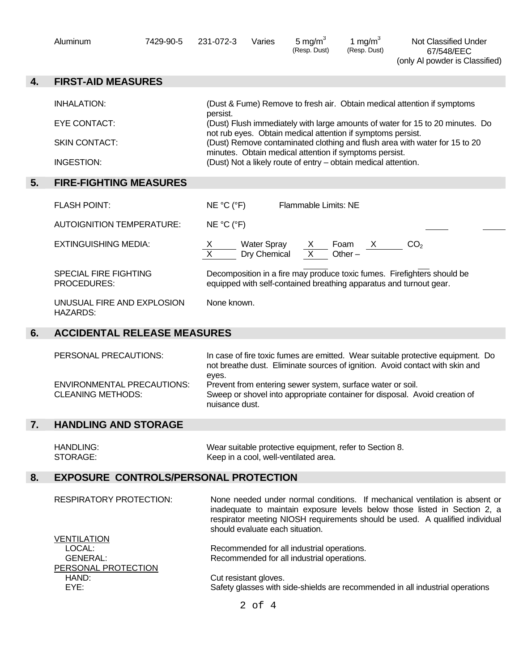|    | Aluminum                                                      | 7429-90-5                                                                     | 231-072-3               | Varies                      | 5 mg/ $m3$<br>(Resp. Dust)                 | 1 mg/m $3$<br>(Resp. Dust)                                                                                               | Not Classified Under<br>67/548/EEC<br>(only AI powder is Classified)                                                                                                                                                                     |
|----|---------------------------------------------------------------|-------------------------------------------------------------------------------|-------------------------|-----------------------------|--------------------------------------------|--------------------------------------------------------------------------------------------------------------------------|------------------------------------------------------------------------------------------------------------------------------------------------------------------------------------------------------------------------------------------|
| 4. | <b>FIRST-AID MEASURES</b>                                     |                                                                               |                         |                             |                                            |                                                                                                                          |                                                                                                                                                                                                                                          |
|    | <b>INHALATION:</b>                                            |                                                                               |                         |                             |                                            |                                                                                                                          | (Dust & Fume) Remove to fresh air. Obtain medical attention if symptoms                                                                                                                                                                  |
|    | <b>EYE CONTACT:</b>                                           |                                                                               | persist.                |                             |                                            |                                                                                                                          | (Dust) Flush immediately with large amounts of water for 15 to 20 minutes. Do                                                                                                                                                            |
|    | <b>SKIN CONTACT:</b>                                          |                                                                               |                         |                             |                                            | not rub eyes. Obtain medical attention if symptoms persist.                                                              | (Dust) Remove contaminated clothing and flush area with water for 15 to 20                                                                                                                                                               |
|    | <b>INGESTION:</b>                                             |                                                                               |                         |                             |                                            | minutes. Obtain medical attention if symptoms persist.<br>(Dust) Not a likely route of entry - obtain medical attention. |                                                                                                                                                                                                                                          |
| 5. | <b>FIRE-FIGHTING MEASURES</b>                                 |                                                                               |                         |                             |                                            |                                                                                                                          |                                                                                                                                                                                                                                          |
|    | <b>FLASH POINT:</b>                                           |                                                                               | NE °C (°F)              |                             | Flammable Limits: NE                       |                                                                                                                          |                                                                                                                                                                                                                                          |
|    | <b>AUTOIGNITION TEMPERATURE:</b>                              |                                                                               | NE °C (°F)              |                             |                                            |                                                                                                                          |                                                                                                                                                                                                                                          |
|    | <b>EXTINGUISHING MEDIA:</b>                                   |                                                                               | $\frac{x}{x}$           | Water Spray<br>Dry Chemical | $\frac{x}{x}$                              | Foam X<br>Other $-$                                                                                                      | CO <sub>2</sub>                                                                                                                                                                                                                          |
|    | <b>SPECIAL FIRE FIGHTING</b><br>PROCEDURES:                   |                                                                               |                         |                             |                                            |                                                                                                                          | Decomposition in a fire may produce toxic fumes. Firefighters should be<br>equipped with self-contained breathing apparatus and turnout gear.                                                                                            |
|    | UNUSUAL FIRE AND EXPLOSION<br><b>HAZARDS:</b>                 |                                                                               | None known.             |                             |                                            |                                                                                                                          |                                                                                                                                                                                                                                          |
| 6. |                                                               | <b>ACCIDENTAL RELEASE MEASURES</b>                                            |                         |                             |                                            |                                                                                                                          |                                                                                                                                                                                                                                          |
|    | PERSONAL PRECAUTIONS:                                         |                                                                               |                         |                             |                                            |                                                                                                                          | In case of fire toxic fumes are emitted. Wear suitable protective equipment. Do<br>not breathe dust. Eliminate sources of ignition. Avoid contact with skin and                                                                          |
|    | <b>ENVIRONMENTAL PRECAUTIONS:</b><br><b>CLEANING METHODS:</b> |                                                                               | eyes.<br>nuisance dust. |                             |                                            | Prevent from entering sewer system, surface water or soil.                                                               | Sweep or shovel into appropriate container for disposal. Avoid creation of                                                                                                                                                               |
| 7. | <b>HANDLING AND STORAGE</b>                                   |                                                                               |                         |                             |                                            |                                                                                                                          |                                                                                                                                                                                                                                          |
|    | <b>HANDLING:</b><br>STORAGE:                                  |                                                                               |                         |                             | Keep in a cool, well-ventilated area.      | Wear suitable protective equipment, refer to Section 8.                                                                  |                                                                                                                                                                                                                                          |
| 8. | <b>EXPOSURE CONTROLS/PERSONAL PROTECTION</b>                  |                                                                               |                         |                             |                                            |                                                                                                                          |                                                                                                                                                                                                                                          |
|    | <b>RESPIRATORY PROTECTION:</b>                                |                                                                               |                         |                             |                                            |                                                                                                                          | None needed under normal conditions. If mechanical ventilation is absent or<br>inadequate to maintain exposure levels below those listed in Section 2, a<br>respirator meeting NIOSH requirements should be used. A qualified individual |
|    | <b>VENTILATION</b>                                            | should evaluate each situation.<br>Recommended for all industrial operations. |                         |                             |                                            |                                                                                                                          |                                                                                                                                                                                                                                          |
|    | LOCAL:<br><b>GENERAL:</b><br>PERSONAL PROTECTION              |                                                                               |                         |                             | Recommended for all industrial operations. |                                                                                                                          |                                                                                                                                                                                                                                          |
|    | HAND:<br>EYE:                                                 |                                                                               |                         | Cut resistant gloves.       |                                            |                                                                                                                          | Safety glasses with side-shields are recommended in all industrial operations                                                                                                                                                            |
|    |                                                               |                                                                               |                         | $2$ of $4$                  |                                            |                                                                                                                          |                                                                                                                                                                                                                                          |
|    |                                                               |                                                                               |                         |                             |                                            |                                                                                                                          |                                                                                                                                                                                                                                          |
|    |                                                               |                                                                               |                         |                             |                                            |                                                                                                                          |                                                                                                                                                                                                                                          |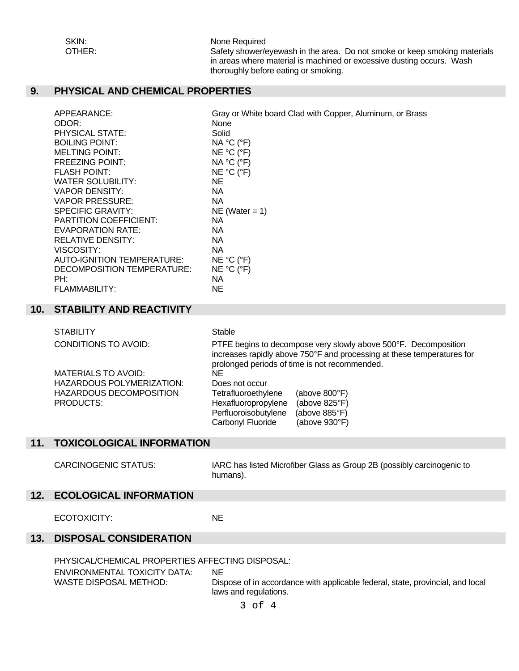SKIN:<br>
OTHER: Safety shower/e Safety shower/eyewash in the area. Do not smoke or keep smoking materials in areas where material is machined or excessive dusting occurs. Wash thoroughly before eating or smoking.

# **9. PHYSICAL AND CHEMICAL PROPERTIES**

| APPEARANCE:                   | Gray or White board Clad with Copper, Aluminum, or Brass |
|-------------------------------|----------------------------------------------------------|
| ODOR:                         | None                                                     |
| PHYSICAL STATE:               | Solid                                                    |
| <b>BOILING POINT:</b>         | NA °C (°F)                                               |
| <b>MELTING POINT:</b>         | NE °C (°F)                                               |
| <b>FREEZING POINT:</b>        | NA °C (°F)                                               |
| <b>FLASH POINT:</b>           | NE °C (°F)                                               |
| WATER SOLUBILITY:             | NE.                                                      |
| VAPOR DENSITY:                | NA.                                                      |
| <b>VAPOR PRESSURE:</b>        | NA.                                                      |
| SPECIFIC GRAVITY:             | NE (Water $= 1$ )                                        |
| <b>PARTITION COEFFICIENT:</b> | <b>NA</b>                                                |
| <b>EVAPORATION RATE:</b>      | <b>NA</b>                                                |
| RELATIVE DENSITY:             | <b>NA</b>                                                |
| VISCOSITY:                    | <b>NA</b>                                                |
| AUTO-IGNITION TEMPERATURE:    | NE °C (°F)                                               |
| DECOMPOSITION TEMPERATURE:    | NE °C (°F)                                               |
| PH:                           | NА                                                       |
| FLAMMABILITY:                 | <b>NE</b>                                                |

#### **10. STABILITY AND REACTIVITY**

| <b>STABILITY</b>               | Stable                                                                                                                                                                                     |  |  |
|--------------------------------|--------------------------------------------------------------------------------------------------------------------------------------------------------------------------------------------|--|--|
| <b>CONDITIONS TO AVOID:</b>    | PTFE begins to decompose very slowly above 500°F. Decomposition<br>increases rapidly above 750°F and processing at these temperatures for<br>prolonged periods of time is not recommended. |  |  |
| <b>MATERIALS TO AVOID:</b>     | ΝE                                                                                                                                                                                         |  |  |
| HAZARDOUS POLYMERIZATION:      | Does not occur                                                                                                                                                                             |  |  |
| <b>HAZARDOUS DECOMPOSITION</b> | Tetrafluoroethylene<br>(above $800^{\circ}$ F)                                                                                                                                             |  |  |
| <b>PRODUCTS:</b>               | Hexafluoropropylene<br>(above 825°F)                                                                                                                                                       |  |  |
|                                | Perfluoroisobutylene<br>(above 885°F)                                                                                                                                                      |  |  |
|                                | Carbonyl Fluoride<br>(above $930^{\circ}$ F)                                                                                                                                               |  |  |

#### **11. TOXICOLOGICAL INFORMATION**

 CARCINOGENIC STATUS: IARC has listed Microfiber Glass as Group 2B (possibly carcinogenic to humans).

#### **12. ECOLOGICAL INFORMATION**

ECOTOXICITY: NE

# **13. DISPOSAL CONSIDERATION**

PHYSICAL/CHEMICAL PROPERTIES AFFECTING DISPOSAL:

ENVIRONMENTAL TOXICITY DATA: NE<br>WASTE DISPOSAL METHOD: Dis

Dispose of in accordance with applicable federal, state, provincial, and local laws and regulations.